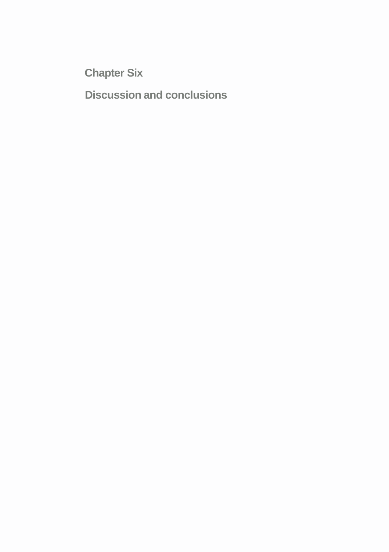**Chapter Six** 

**Discussion and conclusions**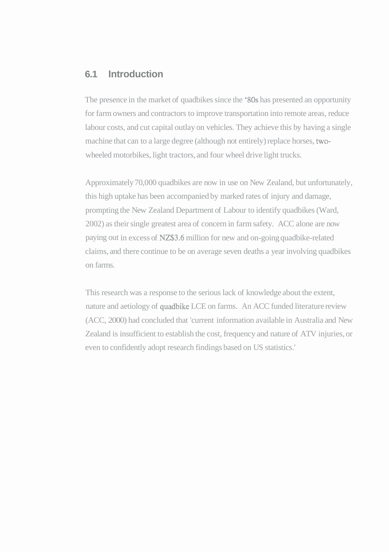# **6.1 Introduction**

The presence in the market of quadbikes since the '80s has presented an opportunity for farm owners and contractors to improve transportation into remote areas, reduce labour costs, and cut capital outlay on vehicles. They achieve this by having a single machine that can to a large degree (although not entirely) replace horses, twowheeled motorbikes, light tractors, and four wheel drive light trucks.

Approximately 70,000 quadbikes are now in use on New Zealand, but unfortunately, this high uptake has been accompanied by marked rates of injury and damage, prompting the New Zealand Department of Labour to identify quadbikes (Ward, 2002) as their single greatest area of concern in farm safety. ACC alone are now paying out in excess of NZ\$3.6 million for new and on-going quadbike-related claims, and there continue to be on average seven deaths a year involving quadbikes on farms.

This research was a response to the serious lack of knowledge about the extent, nature and aetiology of quadbike LCE on farms. An ACC funded literature review (ACC, 2000) had concluded that 'current information available in Australia and New Zealand is insufficient to establish the cost, frequency and nature of ATV injuries, or even to confidently adopt research findings based on US statistics.'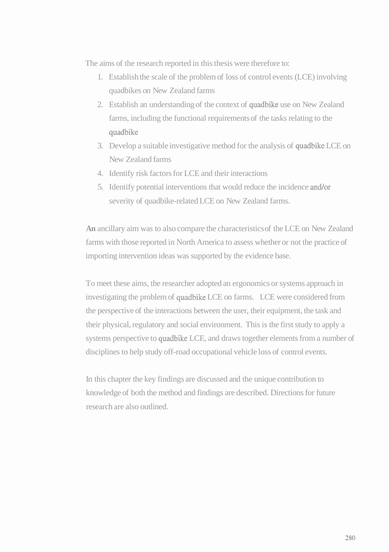The aims of the research reported in this thesis were therefore to:

- 1. Establish the scale of the problem of loss of control events (LCE) involving quadbikes on New Zealand farms
- 2. Establish an understanding of the context of quadbike use on New Zealand farms, including the functional requirements of the tasks relating to the quadbike
- 3. Develop a suitable investigative method for the analysis of quadbike LCE on New Zealand farms
- 4. Identify risk factors for LCE and their interactions
- 5. Identify potential interventions that would reduce the incidence and/or severity of quadbike-related LCE on New Zealand farms.

**An** ancillary aim was to also compare the characteristics of the LCE on New Zealand farms with those reported in North America to assess whether or not the practice of importing intervention ideas was supported by the evidence base.

To meet these aims, the researcher adopted an ergonomics or systems approach in investigating the problem of quadbike LCE on farms. LCE were considered from the perspective of the interactions between the user, their equipment, the task and their physical, regulatory and social environment. This is the first study to apply a systems perspective to quadbike LCE, and draws together elements from a number of disciplines to help study off-road occupational vehicle loss of control events.

In this chapter the key findings are discussed and the unique contribution to knowledge of both the method and findings are described. Directions for future research are also outlined.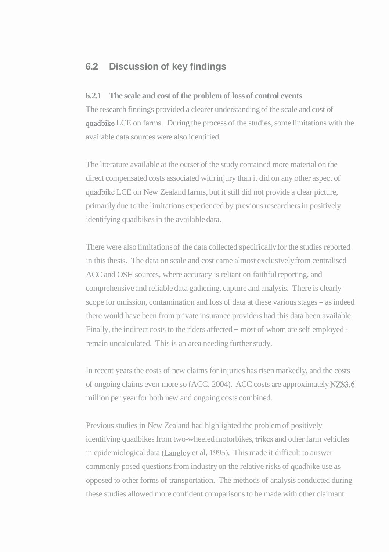# **6.2 Discussion of key findings**

### **6.2.1 The scale and cost of the problem of loss of control events**

The research findings provided a clearer understanding of the scale and cost of quadbike LCE on farms. During the process of the studies, some limitations with the available data sources were also identified.

The literature available at the outset of the study contained more material on the direct compensated costs associated with injury than it did on any other aspect of quadbike LCE on New Zealand farms, but it still did not provide a clear picture, primarily due to the limitations experienced by previous researchers in positively identifying quadbikes in the available data.

There were also limitations of the data collected specifically for the studies reported in this thesis. The data on scale and cost came almost exclusively from centralised ACC and OSH sources, where accuracy is reliant on faithful reporting, and comprehensive and reliable data gathering, capture and analysis. There is clearly scope for omission, contamination and loss of data at these various stages - as indeed there would have been from private insurance providers had this data been available. Finally, the indirect costs to the riders affected – most of whom are self employed remain uncalculated. This is an area needing further study.

In recent years the costs of new claims for injuries has risen markedly, and the costs of ongoing claims even more so (ACC, 2004). ACC costs are approximately NZ\$3.6 million per year for both new and ongoing costs combined.

Previous studies in New Zealand had highlighted the problem of positively identifying quadbikes from two-wheeled motorbikes, trikes and other farm vehicles in epidemiological data (Langley et al, 1995). This made it difficult to answer commonly posed questions from industry on the relative risks of quadbike use as opposed to other forms of transportation. The methods of analysis conducted during these studies allowed more confident comparisons to be made with other claimant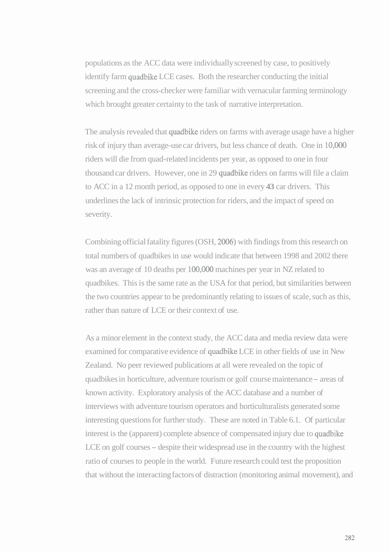populations as the ACC data were individually screened by case, to positively identify farm quadbike LCE cases. Both the researcher conducting the initial screening and the cross-checker were familiar with vernacular farming terminology which brought greater certainty to the task of narrative interpretation.

The analysis revealed that quadbike riders on farms with average usage have a higher risk of injury than average-use car drivers, but less chance of death. One in 10,000 riders will die from quad-related incidents per year, as opposed to one in four thousand car drivers. However, one in 29 quadbike riders on farms will file a claim to ACC in a 12 month period, as opposed to one in every **43** car drivers. This underlines the lack of intrinsic protection for riders, and the impact of speed on severity.

Combining official fatality figures (OSH, 2006) with findings from this research on total numbers of quadbikes in use would indicate that between 1998 and 2002 there was an average of 10 deaths per 100,000 machines per year in NZ related to quadbikes. This is the same rate as the USA for that period, but similarities between the two countries appear to be predominantly relating to issues of scale, such as this, rather than nature of LCE or their context of use.

As a minor element in the context study, the ACC data and media review data were examined for comparative evidence of quadbike LCE in other fields of use in New Zealand. No peer reviewed publications at all were revealed on the topic of quadbikes in horticulture, adventure tourism or golf course maintenance - areas of known activity. Exploratory analysis of the ACC database and a number of interviews with adventure tourism operators and horticulturalists generated some interesting questions for further study. These are noted in Table 6.1. Of particular interest is the (apparent) complete absence of compensated injury due to quadbike LCE on golf courses – despite their widespread use in the country with the highest ratio of courses to people in the world. Future research could test the proposition that without the interacting factors of distraction (monitoring animal movement), and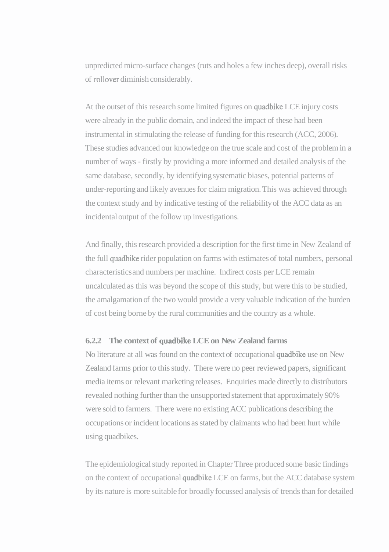unpredicted micro-surface changes (ruts and holes a few inches deep), overall risks of rollover diminish considerably.

At the outset of this research some limited figures on quadbike LCE injury costs were already in the public domain, and indeed the impact of these had been instrumental in stimulating the release of funding for this research (ACC, 2006). These studies advanced our knowledge on the true scale and cost of the problem in a number of ways - firstly by providing a more informed and detailed analysis of the same database, secondly, by identifying systematic biases, potential patterns of under-reporting and likely avenues for claim migration. This was achieved through the context study and by indicative testing of the reliability of the ACC data as an incidental output of the follow up investigations.

And finally, this research provided a description for the first time in New Zealand of the full quadbike rider population on farms with estimates of total numbers, personal characteristics and numbers per machine. Indirect costs per LCE remain uncalculated as this was beyond the scope of this study, but were this to be studied, the amalgamation of the two would provide a very valuable indication of the burden of cost being borne by the rural communities and the country as a whole.

## **6.2.2 The context of quadbike LCE on New Zealand farms**

No literature at all was found on the context of occupational quadbike use on New Zealand farms prior to this study. There were no peer reviewed papers, significant media items or relevant marketing releases. Enquiries made directly to distributors revealed nothing further than the unsupported statement that approximately 90% were sold to farmers. There were no existing ACC publications describing the occupations or incident locations as stated by claimants who had been hurt while using quadbikes.

The epidemiological study reported in Chapter Three produced some basic findings on the context of occupational quadbike LCE on farms, but the ACC database system by its nature is more suitable for broadly focussed analysis of trends than for detailed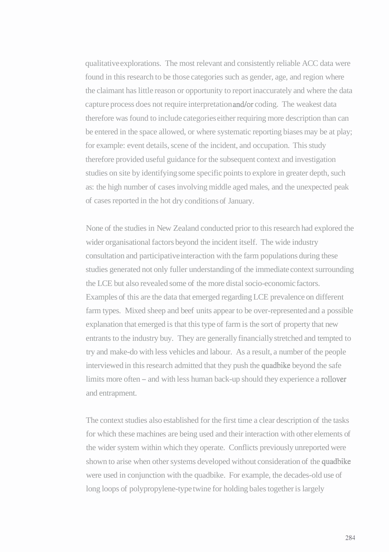qualitative explorations. The most relevant and consistently reliable ACC data were found in this research to be those categories such as gender, age, and region where the claimant has little reason or opportunity to report inaccurately and where the data capture process does not require interpretation and/or coding. The weakest data therefore was found to include categories either requiring more description than can be entered in the space allowed, or where systematic reporting biases may be at play; for example: event details, scene of the incident, and occupation. This study therefore provided useful guidance for the subsequent context and investigation studies on site by identifying some specific points to explore in greater depth, such as: the high number of cases involving middle aged males, and the unexpected peak of cases reported in the hot dry conditions of January.

None of the studies in New Zealand conducted prior to this research had explored the wider organisational factors beyond the incident itself. The wide industry consultation and participative interaction with the farm populations during these studies generated not only fuller understanding of the immediate context surrounding the LCE but also revealed some of the more distal socio-economic factors. Examples of this are the data that emerged regarding LCE prevalence on different farm types. Mixed sheep and beef units appear to be over-represented and a possible explanation that emerged is that this type of farm is the sort of property that new entrants to the industry buy. They are generally financially stretched and tempted to try and make-do with less vehicles and labour. As a result, a number of the people interviewed in this research admitted that they push the quadbike beyond the safe limits more often – and with less human back-up should they experience a rollover and entrapment.

The context studies also established for the first time a clear description of the tasks for which these machines are being used and their interaction with other elements of the wider system within which they operate. Conflicts previously unreported were shown to arise when other systems developed without consideration of the quadbike were used in conjunction with the quadbike. For example, the decades-old use of long loops of polypropylene-type twine for holding bales together is largely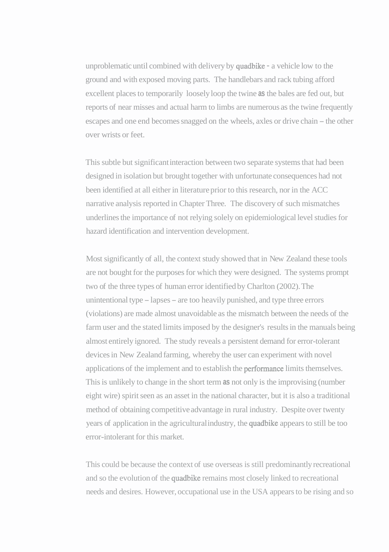unproblematic until combined with delivery by quadbike - a vehicle low to the ground and with exposed moving parts. The handlebars and rack tubing afford excellent places to temporarily loosely loop the twine **as** the bales are fed out, but reports of near misses and actual harm to limbs are numerous as the twine frequently escapes and one end becomes snagged on the wheels, axles or drive chain – the other over wrists or feet.

This subtle but significant interaction between two separate systems that had been designed in isolation but brought together with unfortunate consequences had not been identified at all either in literature prior to this research, nor in the ACC narrative analysis reported in Chapter Three. The discovery of such mismatches underlines the importance of not relying solely on epidemiological level studies for hazard identification and intervention development.

Most significantly of all, the context study showed that in New Zealand these tools are not bought for the purposes for which they were designed. The systems prompt two of the three types of human error identified by Charlton (2002). The unintentional type - lapses - are too heavily punished, and type three errors (violations) are made almost unavoidable as the mismatch between the needs of the farm user and the stated limits imposed by the designer's results in the manuals being almost entirely ignored. The study reveals a persistent demand for error-tolerant devices in New Zealand farming, whereby the user can experiment with novel applications of the implement and to establish the performance limits themselves. This is unlikely to change in the short term **as** not only is the improvising (number eight wire) spirit seen as an asset in the national character, but it is also a traditional method of obtaining competitive advantage in rural industry. Despite over twenty years of application in the agricultural industry, the quadbike appears to still be too error-intolerant for this market.

This could be because the context of use overseas is still predominantly recreational and so the evolution of the quadbike remains most closely linked to recreational needs and desires. However, occupational use in the USA appears to be rising and so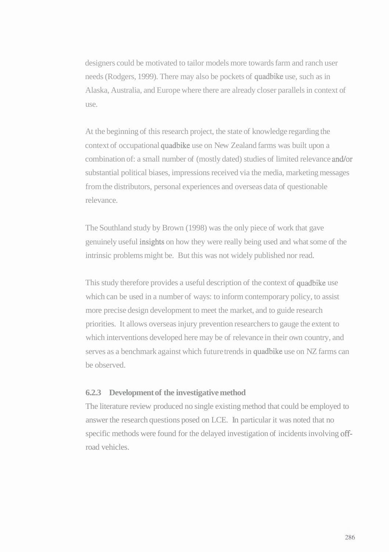designers could be motivated to tailor models more towards farm and ranch user needs (Rodgers, 1999). There may also be pockets of quadbike use, such as in Alaska, Australia, and Europe where there are already closer parallels in context of use.

At the beginning of this research project, the state of knowledge regarding the context of occupational quadbike use on New Zealand farms was built upon a combination of: a small number of (mostly dated) studies of limited relevance and/or substantial political biases, impressions received via the media, marketing messages from the distributors, personal experiences and overseas data of questionable relevance.

The Southland study by Brown (1998) was the only piece of work that gave genuinely useful insights on how they were really being used and what some of the intrinsic problems might be. But this was not widely published nor read.

This study therefore provides a useful description of the context of quadbike use which can be used in a number of ways: to inform contemporary policy, to assist more precise design development to meet the market, and to guide research priorities. It allows overseas injury prevention researchers to gauge the extent to which interventions developed here may be of relevance in their own country, and serves as a benchmark against which future trends in quadbike use on NZ farms can be observed.

## **6.2.3 Development of the investigative method**

The literature review produced no single existing method that could be employed to answer the research questions posed on LCE. In particular it was noted that no specific methods were found for the delayed investigation of incidents involving offroad vehicles.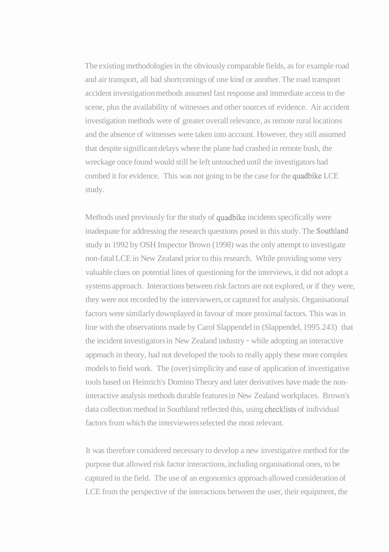The existing methodologies in the obviously comparable fields, as for example road and air transport, all had shortcomings of one kind or another. The road transport accident investigation methods assumed fast response and immediate access to the scene, plus the availability of witnesses and other sources of evidence. Air accident investigation methods were of greater overall relevance, as remote rural locations and the absence of witnesses were taken into account. However, they still assumed that despite significant delays where the plane had crashed in remote bush, the wreckage once found would still be left untouched until the investigators had combed it for evidence. This was not going to be the case for the quadbike LCE study.

Methods used previously for the study of quadbike incidents specifically were inadequate for addressing the research questions posed in this study. The Southland study in 1992 by OSH Inspector Brown (1998) was the only attempt to investigate non-fatal LCE in New Zealand prior to this research. While providing some very valuable clues on potential lines of questioning for the interviews, it did not adopt a systems approach. Interactions between risk factors are not explored, or if they were, they were not recorded by the interviewers, or captured for analysis. Organisational factors were similarly downplayed in favour of more proximal factors. This was in line with the observations made by Carol Slappendel in (Slappendel, 1995.243) that the incident investigators in New Zealand industry - while adopting an interactive approach in theory, had not developed the tools to really apply these more complex models to field work. The (over) simplicity and ease of application of investigative tools based on Heinrich's Domino Theory and later derivatives have made the noninteractive analysis methods durable features in New Zealand workplaces. Brown's data collection method in Southland reflected this, using checklists of individual factors from which the interviewers selected the most relevant.

It was therefore considered necessary to develop a new investigative method for the purpose that allowed risk factor interactions, including organisational ones, to be captured in the field. The use of an ergonomics approach allowed consideration of LCE from the perspective of the interactions between the user, their equipment, the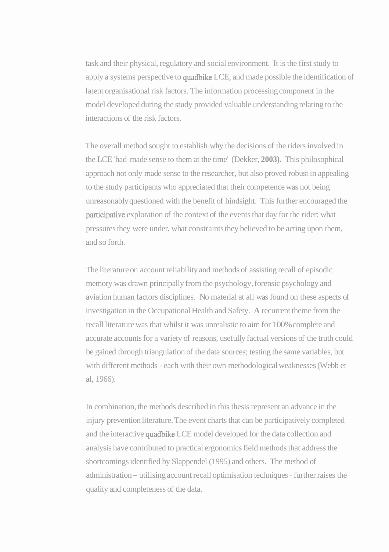task and their physical, regulatory and social environment. It is the first study to apply a systems perspective to quadbike LCE, and made possible the identification of latent organisational risk factors. The information processing component in the model developed during the study provided valuable understanding relating to the interactions of the risk factors.

The overall method sought to establish why the decisions of the riders involved in the LCE 'had made sense to them at the time' (Dekker, **2003).** This philosophical approach not only made sense to the researcher, but also proved robust in appealing to the study participants who appreciated that their competence was not being unreasonably questioned with the benefit of hindsight. This further encouraged the participative exploration of the context of the events that day for the rider; what pressures they were under, what constraints they believed to be acting upon them, and so forth.

The literature on account reliability and methods of assisting recall of episodic memory was drawn principally from the psychology, forensic psychology and aviation human factors disciplines. No material at all was found on these aspects of investigation in the Occupational Health and Safety. **A** recurrent theme from the recall literature was that whilst it was unrealistic to aim for 100% complete and accurate accounts for a variety of reasons, usefully factual versions of the truth could be gained through triangulation of the data sources; testing the same variables, but with different methods - each with their own methodological weaknesses (Webb et al, 1966).

In combination, the methods described in this thesis represent an advance in the injury prevention literature. The event charts that can be participatively completed and the interactive quadbike LCE model developed for the data collection and analysis have contributed to practical ergonomics field methods that address the shortcomings identified by Slappendel (1995) and others. The method of administration - utilising account recall optimisation techniques - further raises the quality and completeness of the data.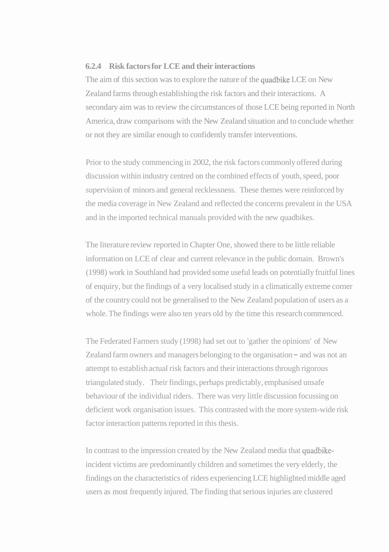## **6.2.4 Risk factors for LCE and their interactions**

The aim of this section was to explore the nature of the quadbike LCE on New Zealand farms through establishing the risk factors and their interactions. A secondary aim was to review the circumstances of those LCE being reported in North America, draw comparisons with the New Zealand situation and to conclude whether or not they are similar enough to confidently transfer interventions.

Prior to the study commencing in 2002, the risk factors commonly offered during discussion within industry centred on the combined effects of youth, speed, poor supervision of minors and general recklessness. These themes were reinforced by the media coverage in New Zealand and reflected the concerns prevalent in the USA and in the imported technical manuals provided with the new quadbikes.

The literature review reported in Chapter One, showed there to be little reliable information on LCE of clear and current relevance in the public domain. Brown's (1998) work in Southland had provided some useful leads on potentially fruitful lines of enquiry, but the findings of a very localised study in a climatically extreme corner of the country could not be generalised to the New Zealand population of users as a whole. The findings were also ten years old by the time this research commenced.

The Federated Farmers study (1998) had set out to 'gather the opinions' of New Zealand farm owners and managers belonging to the organisation – and was not an attempt to establish actual risk factors and their interactions through rigorous triangulated study. Their findings, perhaps predictably, emphasised unsafe behaviour of the individual riders. There was very little discussion focussing on deficient work organisation issues. This contrasted with the more system-wide risk factor interaction patterns reported in this thesis.

In contrast to the impression created by the New Zealand media that quadbikeincident victims are predominantly children and sometimes the very elderly, the findings on the characteristics of riders experiencing LCE highlighted middle aged users as most frequently injured. The finding that serious injuries are clustered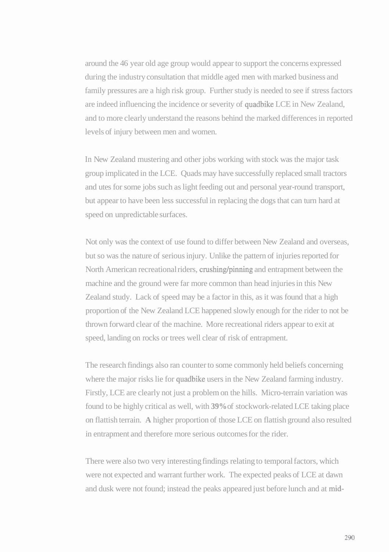around the 46 year old age group would appear to support the concerns expressed during the industry consultation that middle aged men with marked business and family pressures are a high risk group. Further study is needed to see if stress factors are indeed influencing the incidence or severity of quadbike LCE in New Zealand, and to more clearly understand the reasons behind the marked differences in reported levels of injury between men and women.

In New Zealand mustering and other jobs working with stock was the major task group implicated in the LCE. Quads may have successfully replaced small tractors and utes for some jobs such as light feeding out and personal year-round transport, but appear to have been less successful in replacing the dogs that can turn hard at speed on unpredictable surfaces.

Not only was the context of use found to differ between New Zealand and overseas, but so was the nature of serious injury. Unlike the pattern of injuries reported for North American recreational riders, crushing/pinning and entrapment between the machine and the ground were far more common than head injuries in this New Zealand study. Lack of speed may be a factor in this, as it was found that a high proportion of the New Zealand LCE happened slowly enough for the rider to not be thrown forward clear of the machine. More recreational riders appear to exit at speed, landing on rocks or trees well clear of risk of entrapment.

The research findings also ran counter to some commonly held beliefs concerning where the major risks lie for quadbike users in the New Zealand farming industry. Firstly, LCE are clearly not just a problem on the hills. Micro-terrain variation was found to be highly critical as well, with **39%** of stockwork-related LCE taking place on flattish terrain. **A** higher proportion of those LCE on flattish ground also resulted in entrapment and therefore more serious outcomes for the rider.

There were also two very interesting findings relating to temporal factors, which were not expected and warrant further work. The expected peaks of LCE at dawn and dusk were not found; instead the peaks appeared just before lunch and at mid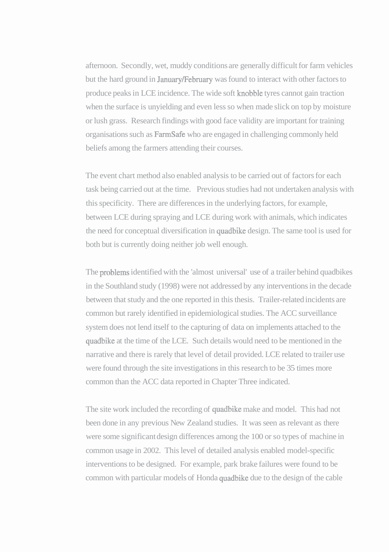afternoon. Secondly, wet, muddy conditions are generally difficult for farm vehicles but the hard ground in January/February was found to interact with other factors to produce peaks in LCE incidence. The wide soft knobble tyres cannot gain traction when the surface is unyielding and even less so when made slick on top by moisture or lush grass. Research findings with good face validity are important for training organisations such as FarmSafe who are engaged in challenging commonly held beliefs among the farmers attending their courses.

The event chart method also enabled analysis to be carried out of factors for each task being carried out at the time. Previous studies had not undertaken analysis with this specificity. There are differences in the underlying factors, for example, between LCE during spraying and LCE during work with animals, which indicates the need for conceptual diversification in quadbike design. The same tool is used for both but is currently doing neither job well enough.

The problems identified with the 'almost universal' use of a trailer behind quadbikes in the Southland study (1998) were not addressed by any interventions in the decade between that study and the one reported in this thesis. Trailer-related incidents are common but rarely identified in epidemiological studies. The ACC surveillance system does not lend itself to the capturing of data on implements attached to the quadbike at the time of the LCE. Such details would need to be mentioned in the narrative and there is rarely that level of detail provided. LCE related to trailer use were found through the site investigations in this research to be 35 times more common than the ACC data reported in Chapter Three indicated.

The site work included the recording of quadbike make and model. This had not been done in any previous New Zealand studies. It was seen as relevant as there were some significant design differences among the 100 or so types of machine in common usage in 2002. This level of detailed analysis enabled model-specific interventions to be designed. For example, park brake failures were found to be common with particular models of Honda quadbike due to the design of the cable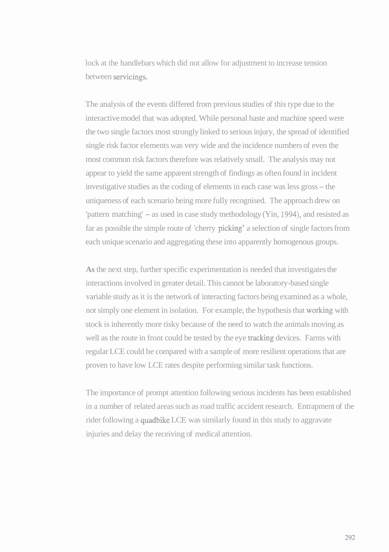lock at the handlebars which did not allow for adjustment to increase tension between servicings.

The analysis of the events differed from previous studies of this type due to the interactive model that was adopted. While personal haste and machine speed were the two single factors most strongly linked to serious injury, the spread of identified single risk factor elements was very wide and the incidence numbers of even the most common risk factors therefore was relatively small. The analysis may not appear to yield the same apparent strength of findings as often found in incident investigative studies as the coding of elements in each case was less gross - the uniqueness of each scenario being more fully recognised. The approach drew on 'pattern matching' - as used in case study methodology (Yin, **1994),** and resisted as far as possible the simple route of 'cherry **picking'** a selection of single factors from each unique scenario and aggregating these into apparently homogenous groups.

**As** the next step, further specific experimentation is needed that investigates the interactions involved in greater detail. This cannot be laboratory-based single variable study as it is the network of interacting factors being examined as a whole, not simply one element in isolation. For example, the hypothesis that working with stock is inherently more risky because of the need to watch the animals moving as well as the route in front could be tested by the eye tracking devices. Farms with regular LCE could be compared with a sample of more resilient operations that are proven to have low LCE rates despite performing similar task functions.

The importance of prompt attention following serious incidents has been established in a number of related areas such as road traffic accident research. Entrapment of the rider following a quadbike LCE was similarly found in this study to aggravate injuries and delay the receiving of medical attention.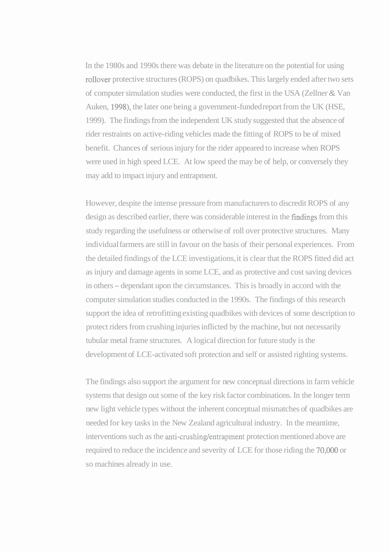In the 1980s and 1990s there was debate in the literature on the potential for using rollover protective structures (ROPS) on quadbikes. This largely ended after two sets of computer simulation studies were conducted, the first in the USA (Zellner & Van Auken, 1998), the later one being a government-funded report from the UK (HSE, 1999). The findings from the independent UK study suggested that the absence of rider restraints on active-riding vehicles made the fitting of ROPS to be of mixed benefit. Chances of serious injury for the rider appeared to increase when ROPS were used in high speed LCE. At low speed the may be of help, or conversely they may add to impact injury and entrapment.

However, despite the intense pressure from manufacturers to discredit ROPS of any design as described earlier, there was considerable interest in the frndings from this study regarding the usefulness or otherwise of roll over protective structures. Many individual farmers are still in favour on the basis of their personal experiences. From the detailed findings of the LCE investigations, it is clear that the ROPS fitted did act as injury and damage agents in some LCE, and as protective and cost saving devices in others - dependant upon the circumstances. This is broadly in accord with the computer simulation studies conducted in the 1990s. The findings of this research support the idea of retrofitting existing quadbikes with devices of some description to protect riders from crushing injuries inflicted by the machine, but not necessarily tubular metal frame structures. A logical direction for future study is the development of LCE-activated soft protection and self or assisted righting systems.

The findings also support the argument for new conceptual directions in farm vehicle systems that design out some of the key risk factor combinations. In the longer term new light vehicle types without the inherent conceptual mismatches of quadbikes are needed for key tasks in the New Zealand agricultural industry. In the meantime, interventions such as the anti-crushing/entrapment protection mentioned above are required to reduce the incidence and severity of LCE for those riding the 70,000 or so machines already in use.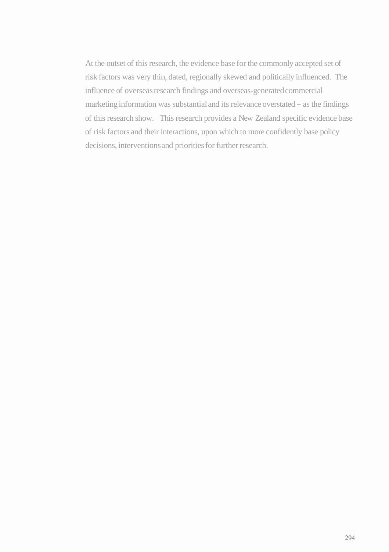At the outset of this research, the evidence base for the commonly accepted set of risk factors was very thin, dated, regionally skewed and politically influenced. The influence of overseas research findings and overseas-generated commercial marketing information was substantial and its relevance overstated - as the findings of this research show. This research provides a New Zealand specific evidence base of risk factors and their interactions, upon which to more confidently base policy decisions, interventions and priorities for further research.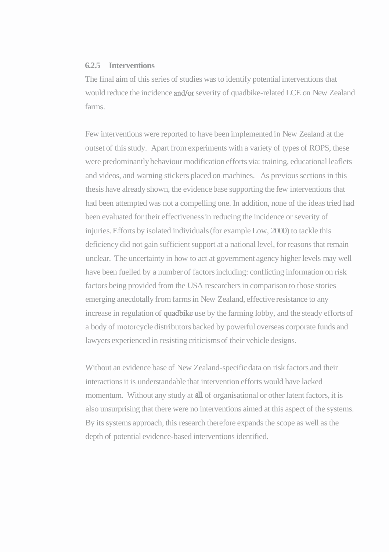#### **6.2.5 Interventions**

The final aim of this series of studies was to identify potential interventions that would reduce the incidence and/or severity of quadbike-related LCE on New Zealand farms.

Few interventions were reported to have been implemented in New Zealand at the outset of this study. Apart from experiments with a variety of types of ROPS, these were predominantly behaviour modification efforts via: training, educational leaflets and videos, and warning stickers placed on machines. As previous sections in this thesis have already shown, the evidence base supporting the few interventions that had been attempted was not a compelling one. In addition, none of the ideas tried had been evaluated for their effectiveness in reducing the incidence or severity of injuries. Efforts by isolated individuals (for example Low, 2000) to tackle this deficiency did not gain sufficient support at a national level, for reasons that remain unclear. The uncertainty in how to act at government agency higher levels may well have been fuelled by a number of factors including: conflicting information on risk factors being provided from the USA researchers in comparison to those stories emerging anecdotally from farms in New Zealand, effective resistance to any increase in regulation of quadbike use by the farming lobby, and the steady efforts of a body of motorcycle distributors backed by powerful overseas corporate funds and lawyers experienced in resisting criticisms of their vehicle designs.

Without an evidence base of New Zealand-specific data on risk factors and their interactions it is understandable that intervention efforts would have lacked momentum. Without any study at **all** of organisational or other latent factors, it is also unsurprising that there were no interventions aimed at this aspect of the systems. By its systems approach, this research therefore expands the scope as well as the depth of potential evidence-based interventions identified.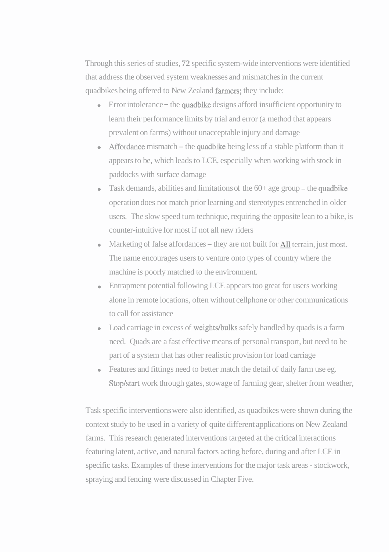Through this series of studies, **72** specific system-wide interventions were identified that address the observed system weaknesses and mismatches in the current quadbikes being offered to New Zealand farmers; they include:

- Error intolerance the quadbike designs afford insufficient opportunity to learn their performance limits by trial and error (a method that appears prevalent on farms) without unacceptable injury and damage
- Affordance mismatch the quadbike being less of a stable platform than it appears to be, which leads to LCE, especially when working with stock in paddocks with surface damage
- $\bullet$  Task demands, abilities and limitations of the 60+ age group the quadbike operation does not match prior learning and stereotypes entrenched in older users. The slow speed turn technique, requiring the opposite lean to a bike, is counter-intuitive for most if not all new riders
- Marketing of false affordances  $-$  they are not built for  $\underline{All}$  terrain, just most. The name encourages users to venture onto types of country where the machine is poorly matched to the environment.
- Entrapment potential following LCE appears too great for users working alone in remote locations, often without cellphone or other communications to call for assistance
- $\bullet$  Load carriage in excess of weights/bulks safely handled by quads is a farm need. Quads are a fast effective means of personal transport, but need to be part of a system that has other realistic provision for load carriage
- Features and fittings need to better match the detail of daily farm use eg.  $\bullet$ Stop/start work through gates, stowage of farming gear, shelter from weather,

Task specific interventions were also identified, as quadbikes were shown during the context study to be used in a variety of quite different applications on New Zealand farms. This research generated interventions targeted at the critical interactions featuring latent, active, and natural factors acting before, during and after LCE in specific tasks. Examples of these interventions for the major task areas - stockwork, spraying and fencing were discussed in Chapter Five.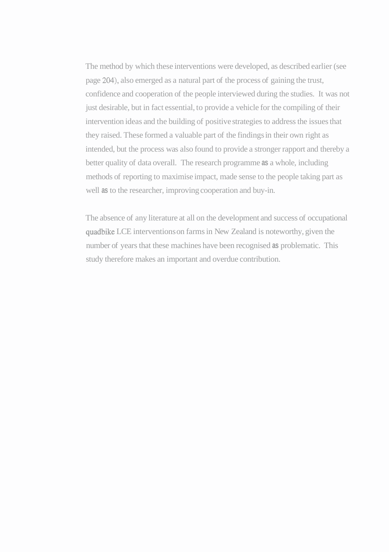The method by which these interventions were developed, as described earlier (see page **204),** also emerged as a natural part of the process of gaining the trust, confidence and cooperation of the people interviewed during the studies. It was not just desirable, but in fact essential, to provide a vehicle for the compiling of their intervention ideas and the building of positive strategies to address the issues that they raised. These formed a valuable part of the findings in their own right as intended, but the process was also found to provide a stronger rapport and thereby a better quality of data overall. The research programme **as** a whole, including methods of reporting to maximise impact, made sense to the people taking part as well **as** to the researcher, improving cooperation and buy-in.

The absence of any literature at all on the development and success of occupational quadbike LCE interventions on farms in New Zealand is noteworthy, given the number of years that these machines have been recognised **as** problematic. This study therefore makes an important and overdue contribution.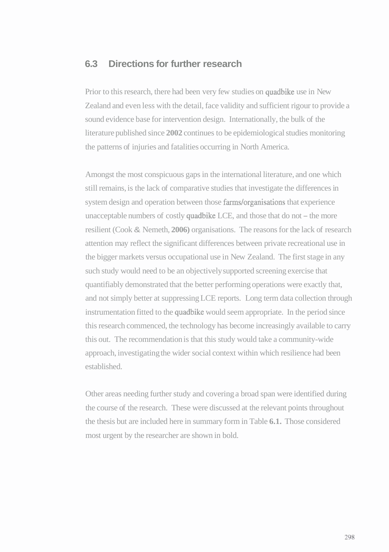# **6.3 Directions for further research**

Prior to this research, there had been very few studies on quadbike use in New Zealand and even less with the detail, face validity and sufficient rigour to provide a sound evidence base for intervention design. Internationally, the bulk of the literature published since **2002** continues to be epidemiological studies monitoring the patterns of injuries and fatalities occurring in North America.

Amongst the most conspicuous gaps in the international literature, and one which still remains, is the lack of comparative studies that investigate the differences in system design and operation between those farms/organisations that experience unacceptable numbers of costly quadbike LCE, and those that do not  $-$  the more resilient (Cook & Nemeth, **2006)** organisations. The reasons for the lack of research attention may reflect the significant differences between private recreational use in the bigger markets versus occupational use in New Zealand. The first stage in any such study would need to be an objectively supported screening exercise that quantifiably demonstrated that the better performing operations were exactly that, and not simply better at suppressing LCE reports. Long term data collection through instrumentation fitted to the quadbike would seem appropriate. In the period since this research commenced, the technology has become increasingly available to carry this out. The recommendation is that this study would take a community-wide approach, investigating the wider social context within which resilience had been established.

Other areas needing further study and covering a broad span were identified during the course of the research. These were discussed at the relevant points throughout the thesis but are included here in summary form in Table **6.1.** Those considered most urgent by the researcher are shown in bold.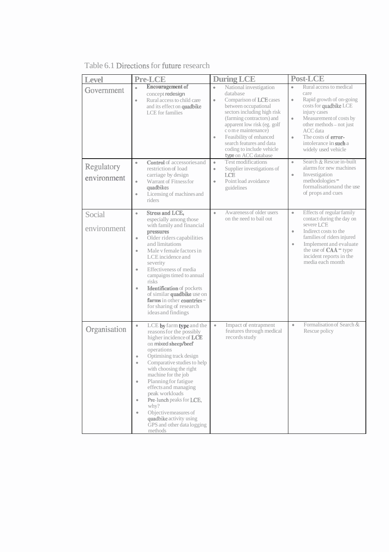Table 6.1 Directions for future research

| <b>Level</b>          | <b>Pre-LCE</b>                                                                                                                                                                                                                                                                                                                                                                                                                                                                                            | <b>During LCE</b>                                                                                                                                                                                                                                                                                                                                           | <b>Post-LCE</b>                                                                                                                                                                                                                                                                                            |
|-----------------------|-----------------------------------------------------------------------------------------------------------------------------------------------------------------------------------------------------------------------------------------------------------------------------------------------------------------------------------------------------------------------------------------------------------------------------------------------------------------------------------------------------------|-------------------------------------------------------------------------------------------------------------------------------------------------------------------------------------------------------------------------------------------------------------------------------------------------------------------------------------------------------------|------------------------------------------------------------------------------------------------------------------------------------------------------------------------------------------------------------------------------------------------------------------------------------------------------------|
| Government            | Encouragement of<br>$\bullet$<br>concept redesign<br>Rural access to child care<br>$\bullet$<br>and its effect on quadbike<br><b>LCE</b> for families                                                                                                                                                                                                                                                                                                                                                     | $\bullet$<br>National investigation<br>database<br>$\bullet$<br>Comparison of LCE cases<br>between occupational<br>sectors including high risk<br>(farming contractors) and<br>apparent low risk (eg. golf<br>c o m e maintenance)<br>Feasibility of enhanced<br>$\bullet$<br>search features and data<br>coding to include vehicle<br>type on ACC database | Rural access to medical<br>$\bullet$<br>care<br>$\bullet$<br>Rapid growth of on-going<br>costs for quadbike LCE<br>injury cases<br>Measurement of costs by<br>$\bullet$<br>other methods - not just<br>ACC data<br>The costs of <b>error-</b><br>$\bullet$<br>intolerance in such a<br>widely used vehicle |
| Regulatory            | <b>Control</b> of accessories and<br>$\bullet$<br>restriction of load                                                                                                                                                                                                                                                                                                                                                                                                                                     | Test modifications<br>$\bullet$<br>Supplier investigations of<br>$\bullet$                                                                                                                                                                                                                                                                                  | Search & Rescue in-built<br>$\bullet$<br>alarms for new machines                                                                                                                                                                                                                                           |
| environment           | carriage by design<br>Warrant of Fitness for<br>$\bullet$<br>quadbikes<br>Licensing of machines and<br>$\bullet$<br>riders                                                                                                                                                                                                                                                                                                                                                                                | LCE<br>Point load avoidance<br>$\bullet$<br>guidelines                                                                                                                                                                                                                                                                                                      | $\bullet$<br>Investigation<br>methodologies-<br>formalisation and the use<br>of props and cues                                                                                                                                                                                                             |
| Social<br>environment | <b>Stress and LCE,</b><br>$\bullet$<br>especially among those<br>with family and financial<br>pressures<br>Older riders capabilities<br>$\bullet$<br>and limitations<br>Male y female factors in<br>$\bullet$<br>LCE incidence and<br>severity<br>Effectiveness of media<br>$\bullet$<br>campaigns timed to annual<br>risks<br><b>Identification</b> of pockets<br>$\bullet$<br>of similar <b>quadbike</b> use on<br>farms in other countries -<br>for sharing of research<br>ideas and findings          | Awareness of older users<br>$\bullet$<br>on the need to bail out                                                                                                                                                                                                                                                                                            | Effects of regular family<br>$\bullet$<br>contact during the day on<br>severe LCE<br>Indirect costs to the<br>$\ddot{\phantom{a}}$<br>families of riders injured<br>Implement and evaluate<br>$\bullet$<br>the use of <b>CAA</b> = type<br>incident reports in the<br>media each month                     |
| Organisation          | LCE by farm type and the<br>$\bullet$<br>reasons for the possibly<br>higher incidence of LCE<br>on mixed sheep/beef<br>operations<br>Optimising track design<br>$\bullet$<br>Comparative studies to help<br>$\bullet$<br>with choosing the right<br>machine for the job<br>Planning for fatigue<br>$\bullet$<br>effects and managing<br>peak workloads<br>Pre-lunch peaks for LCE,<br>$\bullet$<br>why?<br>Objective measures of<br>٠<br>quadbike activity using<br>GPS and other data logging<br>methods | Impact of entrapment<br>$\bullet$<br>features through medical<br>records study                                                                                                                                                                                                                                                                              | Formalisation of Search &<br>$\bullet$<br>Rescue policy                                                                                                                                                                                                                                                    |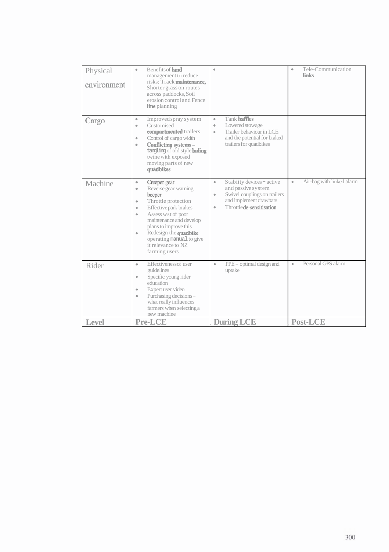| Physical<br>environment | Benefits of land<br>$\bullet$<br>management to reduce<br>risks: Track maintenance,<br>Shorter grass on routes<br>across paddocks, Soil<br>erosion control and Fence<br><b>line</b> planning                                                                                                                                                        | $\bullet$                                                                                                                                                                     | Tele-Communication<br>٠<br><b>links</b> |
|-------------------------|----------------------------------------------------------------------------------------------------------------------------------------------------------------------------------------------------------------------------------------------------------------------------------------------------------------------------------------------------|-------------------------------------------------------------------------------------------------------------------------------------------------------------------------------|-----------------------------------------|
| Cargo                   | Improved spray system<br>$\bullet$<br>Customised<br>$\bullet$<br>compartmented trailers<br>Control of cargo width<br>$\bullet$<br>Conflicting systems -<br>$\bullet$<br>tangling of old style baling<br>twine with exposed<br>moving parts of new<br>quadbikes                                                                                     | Tank baffles<br>$\bullet$<br>Lowered stowage<br>$\bullet$<br>Trailer behaviour in LCE<br>$\bullet$<br>and the potential for braked<br>trailers for quadbikes                  |                                         |
| Machine                 | Creeper gear<br>$\bullet$<br>Reverse gear warning<br>$\bullet$<br>beeper<br>Throttle protection<br>$\bullet$<br>Effective park brakes<br>$\bullet$<br>Assess wst of poor<br>$\bullet$<br>maintenance and develop<br>plans to improve this<br>Redesign the quadbike<br>$\bullet$<br>operating manual to give<br>it relevance to NZ<br>farming users | Stabiity devices - active<br>$\bullet$<br>and passive system<br>Swivel couplings on trailers<br>$\bullet$<br>and implement drawbars<br>Throttle de-sensitisation<br>$\bullet$ | Air-bag with linked alarm<br>$\bullet$  |
| Rider                   | Effectivenessof user<br>$\bullet$<br>guidelines<br>Specific young rider<br>$\bullet$<br>education<br>Expert user video<br>$\bullet$<br>Purchasing decisions-<br>$\bullet$<br>what really influences<br>farmers when selecting a<br>new machine                                                                                                     | $PPE$ – optimal design and<br>$\bullet$<br>uptake                                                                                                                             | Personal GPS alarm<br>$\bullet$         |
| <b>Level</b>            | <b>Pre-LCE</b>                                                                                                                                                                                                                                                                                                                                     | <b>During LCE</b>                                                                                                                                                             | <b>Post-LCE</b>                         |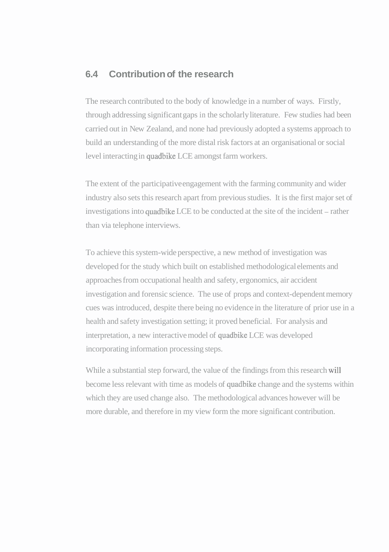# **6.4 Contribution of the research**

The research contributed to the body of knowledge in a number of ways. Firstly, through addressing significant gaps in the scholarly literature. Few studies had been carried out in New Zealand, and none had previously adopted a systems approach to build an understanding of the more distal risk factors at an organisational or social level interacting in quadbike LCE amongst farm workers.

The extent of the participative engagement with the farming community and wider industry also sets this research apart from previous studies. It is the first major set of investigations into quadbike LCE to be conducted at the site of the incident – rather than via telephone interviews.

To achieve this system-wide perspective, a new method of investigation was developed for the study which built on established methodological elements and approaches from occupational health and safety, ergonomics, air accident investigation and forensic science. The use of props and context-dependent memory cues was introduced, despite there being no evidence in the literature of prior use in a health and safety investigation setting; it proved beneficial. For analysis and interpretation, a new interactive model of quadbike LCE was developed incorporating information processing steps.

While a substantial step forward, the value of the findings from this research will become less relevant with time as models of quadbike change and the systems within which they are used change also. The methodological advances however will be more durable, and therefore in my view form the more significant contribution.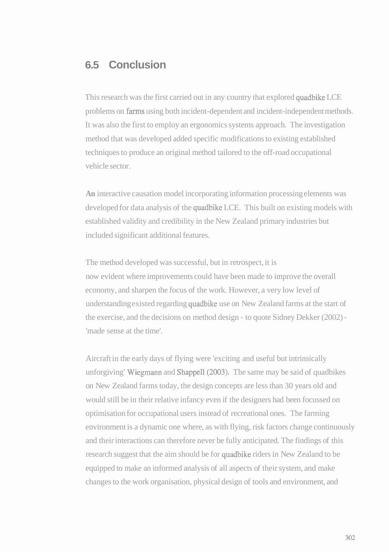# **6.5 Conclusion**

This research was the first carried out in any country that explored quadbike LCE problems on farms using both incident-dependent and incident-independent methods. It was also the first to employ an ergonomics systems approach. The investigation method that was developed added specific modifications to existing established techniques to produce an original method tailored to the off-road occupational vehicle sector.

**An** interactive causation model incorporating information processing elements was developed for data analysis of the quadbike LCE. This built on existing models with established validity and credibility in the New Zealand primary industries but included significant additional features.

The method developed was successful, but in retrospect, it is now evident where improvements could have been made to improve the overall economy, and sharpen the focus of the work. However, a very low level of understanding existed regarding quadbike use on New Zealand farms at the start of the exercise, and the decisions on method design - to quote Sidney Dekker (2002) - 'made sense at the time'.

Aircraft in the early days of flying were 'exciting and useful but intrinsically unforgiving' Wiegmann and Shappell (2003). The same may be said of quadbikes on New Zealand farms today, the design concepts are less than 30 years old and would still be in their relative infancy even if the designers had been focussed on optimisation for occupational users instead of recreational ones. The farming environment is a dynamic one where, as with flying, risk factors change continuously and their interactions can therefore never be fully anticipated. The findings of this research suggest that the aim should be for quadbike riders in New Zealand to be equipped to make an informed analysis of all aspects of their system, and make changes to the work organisation, physical design of tools and environment, and